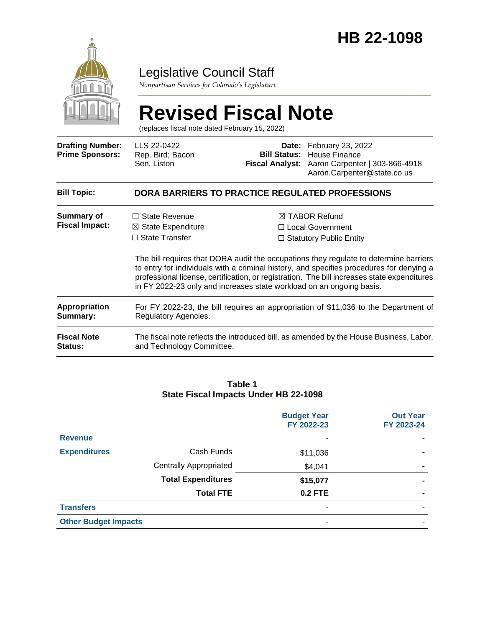

# Legislative Council Staff

*Nonpartisan Services for Colorado's Legislature*

# **Revised Fiscal Note**

(replaces fiscal note dated February 15, 2022)

| <b>Drafting Number:</b><br><b>Prime Sponsors:</b> | LLS 22-0422<br>Rep. Bird; Bacon<br>Sen. Liston                                                                                                                                                                                                                                                                                                           | <b>Bill Status:</b> | <b>Date:</b> February 23, 2022<br>House Finance<br>Fiscal Analyst: Aaron Carpenter   303-866-4918<br>Aaron.Carpenter@state.co.us |  |  |  |
|---------------------------------------------------|----------------------------------------------------------------------------------------------------------------------------------------------------------------------------------------------------------------------------------------------------------------------------------------------------------------------------------------------------------|---------------------|----------------------------------------------------------------------------------------------------------------------------------|--|--|--|
| <b>Bill Topic:</b>                                | <b>DORA BARRIERS TO PRACTICE REGULATED PROFESSIONS</b>                                                                                                                                                                                                                                                                                                   |                     |                                                                                                                                  |  |  |  |
| Summary of<br><b>Fiscal Impact:</b>               | State Revenue<br>п<br>$\boxtimes$ State Expenditure<br>$\Box$ State Transfer                                                                                                                                                                                                                                                                             |                     | $\boxtimes$ TABOR Refund<br>□ Local Government<br>$\Box$ Statutory Public Entity                                                 |  |  |  |
|                                                   | The bill requires that DORA audit the occupations they regulate to determine barriers<br>to entry for individuals with a criminal history, and specifies procedures for denying a<br>professional license, certification, or registration. The bill increases state expenditures<br>in FY 2022-23 only and increases state workload on an ongoing basis. |                     |                                                                                                                                  |  |  |  |
| <b>Appropriation</b><br>Summary:                  | For FY 2022-23, the bill requires an appropriation of \$11,036 to the Department of<br>Regulatory Agencies.                                                                                                                                                                                                                                              |                     |                                                                                                                                  |  |  |  |
| <b>Fiscal Note</b><br><b>Status:</b>              | The fiscal note reflects the introduced bill, as amended by the House Business, Labor,<br>and Technology Committee.                                                                                                                                                                                                                                      |                     |                                                                                                                                  |  |  |  |

#### **Table 1 State Fiscal Impacts Under HB 22-1098**

|                             |                               | <b>Budget Year</b><br>FY 2022-23 | <b>Out Year</b><br>FY 2023-24 |
|-----------------------------|-------------------------------|----------------------------------|-------------------------------|
| <b>Revenue</b>              |                               | ۰                                |                               |
| <b>Expenditures</b>         | Cash Funds                    | \$11,036                         |                               |
|                             | <b>Centrally Appropriated</b> | \$4,041                          |                               |
|                             | <b>Total Expenditures</b>     | \$15,077                         |                               |
|                             | <b>Total FTE</b>              | <b>0.2 FTE</b>                   |                               |
| <b>Transfers</b>            |                               | ۰                                |                               |
| <b>Other Budget Impacts</b> |                               | ۰                                |                               |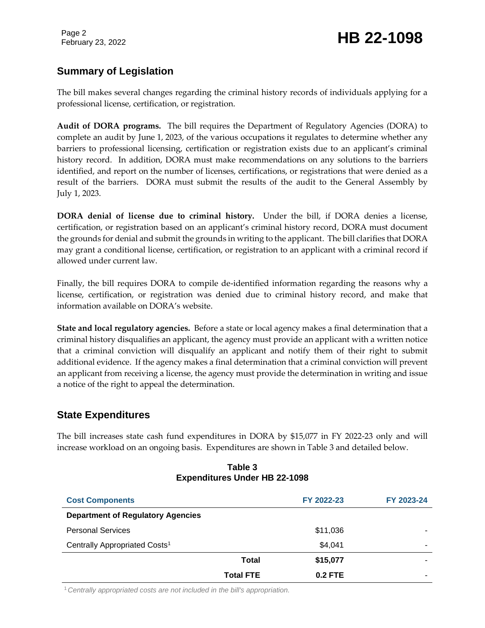# **Summary of Legislation**

The bill makes several changes regarding the criminal history records of individuals applying for a professional license, certification, or registration.

**Audit of DORA programs.** The bill requires the Department of Regulatory Agencies (DORA) to complete an audit by June 1, 2023, of the various occupations it regulates to determine whether any barriers to professional licensing, certification or registration exists due to an applicant's criminal history record. In addition, DORA must make recommendations on any solutions to the barriers identified, and report on the number of licenses, certifications, or registrations that were denied as a result of the barriers. DORA must submit the results of the audit to the General Assembly by July 1, 2023.

**DORA denial of license due to criminal history.** Under the bill, if DORA denies a license, certification, or registration based on an applicant's criminal history record, DORA must document the grounds for denial and submit the grounds in writing to the applicant. The bill clarifies that DORA may grant a conditional license, certification, or registration to an applicant with a criminal record if allowed under current law.

Finally, the bill requires DORA to compile de-identified information regarding the reasons why a license, certification, or registration was denied due to criminal history record, and make that information available on DORA's website.

**State and local regulatory agencies.** Before a state or local agency makes a final determination that a criminal history disqualifies an applicant, the agency must provide an applicant with a written notice that a criminal conviction will disqualify an applicant and notify them of their right to submit additional evidence. If the agency makes a final determination that a criminal conviction will prevent an applicant from receiving a license, the agency must provide the determination in writing and issue a notice of the right to appeal the determination.

### **State Expenditures**

The bill increases state cash fund expenditures in DORA by \$15,077 in FY 2022-23 only and will increase workload on an ongoing basis. Expenditures are shown in Table 3 and detailed below.

| <b>Cost Components</b>                    |                  | FY 2022-23 | FY 2023-24 |
|-------------------------------------------|------------------|------------|------------|
| <b>Department of Regulatory Agencies</b>  |                  |            |            |
| <b>Personal Services</b>                  |                  | \$11,036   |            |
| Centrally Appropriated Costs <sup>1</sup> |                  | \$4,041    | -          |
|                                           | Total            | \$15,077   |            |
|                                           | <b>Total FTE</b> | $0.2$ FTE  |            |

#### **Table 3 Expenditures Under HB 22-1098**

1*Centrally appropriated costs are not included in the bill's appropriation.*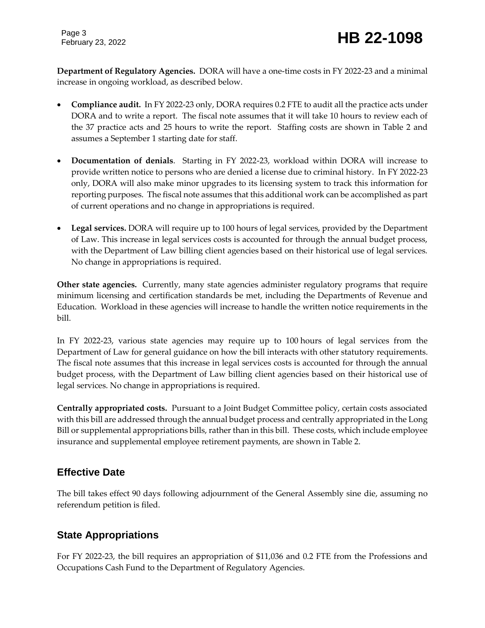Page 3

**Department of Regulatory Agencies.** DORA will have a one-time costs in FY 2022-23 and a minimal increase in ongoing workload, as described below.

- **Compliance audit.** In FY 2022-23 only, DORA requires 0.2 FTE to audit all the practice acts under DORA and to write a report. The fiscal note assumes that it will take 10 hours to review each of the 37 practice acts and 25 hours to write the report. Staffing costs are shown in Table 2 and assumes a September 1 starting date for staff.
- **Documentation of denials**. Starting in FY 2022-23, workload within DORA will increase to provide written notice to persons who are denied a license due to criminal history. In FY 2022-23 only, DORA will also make minor upgrades to its licensing system to track this information for reporting purposes. The fiscal note assumes that this additional work can be accomplished as part of current operations and no change in appropriations is required.
- **Legal services.** DORA will require up to 100 hours of legal services, provided by the Department of Law. This increase in legal services costs is accounted for through the annual budget process, with the Department of Law billing client agencies based on their historical use of legal services. No change in appropriations is required.

**Other state agencies.** Currently, many state agencies administer regulatory programs that require minimum licensing and certification standards be met, including the Departments of Revenue and Education. Workload in these agencies will increase to handle the written notice requirements in the bill.

In FY 2022-23, various state agencies may require up to 100 hours of legal services from the Department of Law for general guidance on how the bill interacts with other statutory requirements. The fiscal note assumes that this increase in legal services costs is accounted for through the annual budget process, with the Department of Law billing client agencies based on their historical use of legal services. No change in appropriations is required.

**Centrally appropriated costs.** Pursuant to a Joint Budget Committee policy, certain costs associated with this bill are addressed through the annual budget process and centrally appropriated in the Long Bill or supplemental appropriations bills, rather than in this bill. These costs, which include employee insurance and supplemental employee retirement payments, are shown in Table 2.

## **Effective Date**

The bill takes effect 90 days following adjournment of the General Assembly sine die, assuming no referendum petition is filed.

# **State Appropriations**

For FY 2022-23, the bill requires an appropriation of \$11,036 and 0.2 FTE from the Professions and Occupations Cash Fund to the Department of Regulatory Agencies.